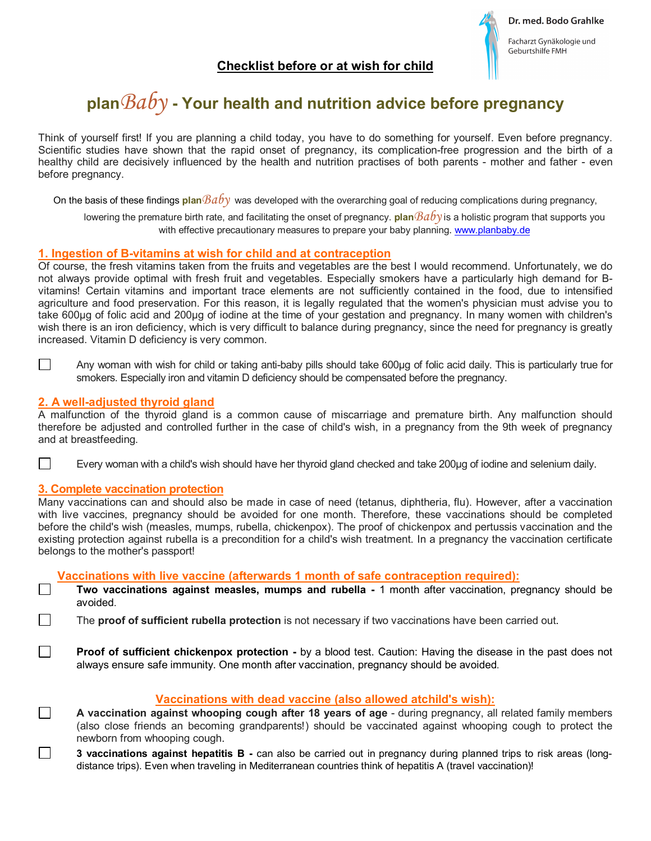

# **plan***Baby* **- Your health and nutrition advice before pregnancy**

Think of yourself first! If you are planning a child today, you have to do something for yourself. Even before pregnancy. Scientific studies have shown that the rapid onset of pregnancy, its complication-free progression and the birth of a healthy child are decisively influenced by the health and nutrition practises of both parents - mother and father - even before pregnancy.

On the basis of these findings **plan***Baby* was developed with the overarching goal of reducing complications during pregnancy,

lowering the premature birth rate, and facilitating the onset of pregnancy. **plan***Baby* is a holistic program that supports you with effective precautionary measures to prepare your baby planning. [w](http://www.planbaby.de/)[ww.planbaby.de](www.planbaby.de)

## **1. Ingestion of B-vitamins at wish for child and at contraception**

Of course, the fresh vitamins taken from the fruits and vegetables are the best I would recommend. Unfortunately, we do not always provide optimal with fresh fruit and vegetables. Especially smokers have a particularly high demand for Bvitamins! Certain vitamins and important trace elements are not sufficiently contained in the food, due to intensified agriculture and food preservation. For this reason, it is legally regulated that the women's physician must advise you to take 600μg of folic acid and 200μg of iodine at the time of your gestation and pregnancy. In many women with children's wish there is an iron deficiency, which is very difficult to balance during pregnancy, since the need for pregnancy is greatly increased. Vitamin D deficiency is very common.

 $\Box$ 

 $\Box$ 

 $\Box$ 

Any woman with wish for child or taking anti-baby pills should take 600μg of folic acid daily. This is particularly true for smokers. Especially iron and vitamin D deficiency should be compensated before the pregnancy.

## **2. A well-adjusted thyroid gland**

A malfunction of the thyroid gland is a common cause of miscarriage and premature birth. Any malfunction should therefore be adjusted and controlled further in the case of child's wish, in a pregnancy from the 9th week of pregnancy and at breastfeeding.

Every woman with a child's wish should have her thyroid gland checked and take 200μg of iodine and selenium daily.

## **3. Complete vaccination protection**

Many vaccinations can and should also be made in case of need (tetanus, diphtheria, flu). However, after a vaccination with live vaccines, pregnancy should be avoided for one month. Therefore, these vaccinations should be completed before the child's wish (measles, mumps, rubella, chickenpox). The proof of chickenpox and pertussis vaccination and the existing protection against rubella is a precondition for a child's wish treatment. In a pregnancy the vaccination certificate belongs to the mother's passport!

#### **Vaccinations with live vaccine (afterwards 1 month of safe contraception required):**

 **Two vaccinations against measles, mumps and rubella -** 1 month after vaccination, pregnancy should be avoided.

The **proof of sufficient rubella protection** is not necessary if two vaccinations have been carried out.

**Proof of sufficient chickenpox protection -** by a blood test. Caution: Having the disease in the past does not always ensure safe immunity. One month after vaccination, pregnancy should be avoided.

## **Vaccinations with dead vaccine (also allowed atchild's wish):**

**A vaccination against whooping cough after 18 years of age** - during pregnancy, all related family members (also close friends an becoming grandparents!) should be vaccinated against whooping cough to protect the newborn from whooping cough.

П **3 vaccinations against hepatitis B -** can also be carried out in pregnancy during planned trips to risk areas (longdistance trips). Even when traveling in Mediterranean countries think of hepatitis A (travel vaccination)!